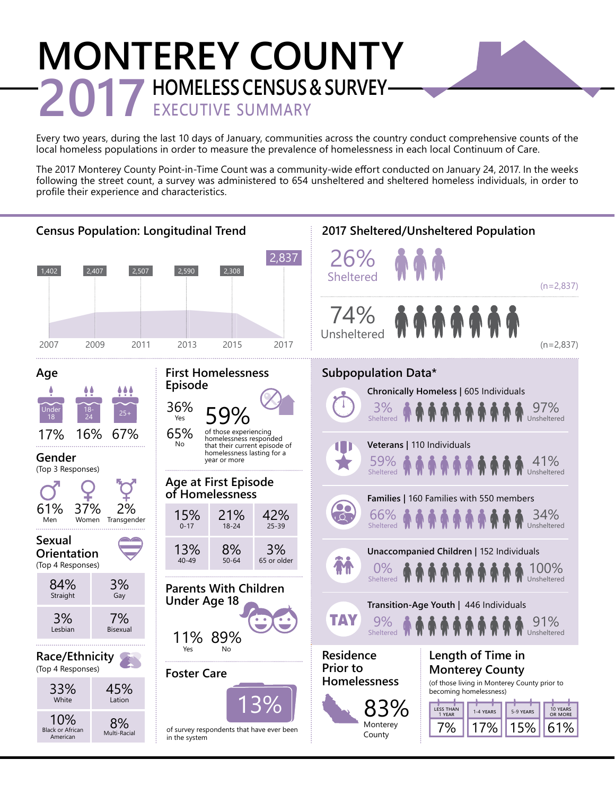# **MONTEREY COUNTY 2017 HOMELESS CENSUS & SURVEY-**

Every two years, during the last 10 days of January, communities across the country conduct comprehensive counts of the local homeless populations in order to measure the prevalence of homelessness in each local Continuum of Care.

The 2017 Monterey County Point-in-Time Count was a community-wide effort conducted on January 24, 2017. In the weeks following the street count, a survey was administered to 654 unsheltered and sheltered homeless individuals, in order to profile their experience and characteristics.